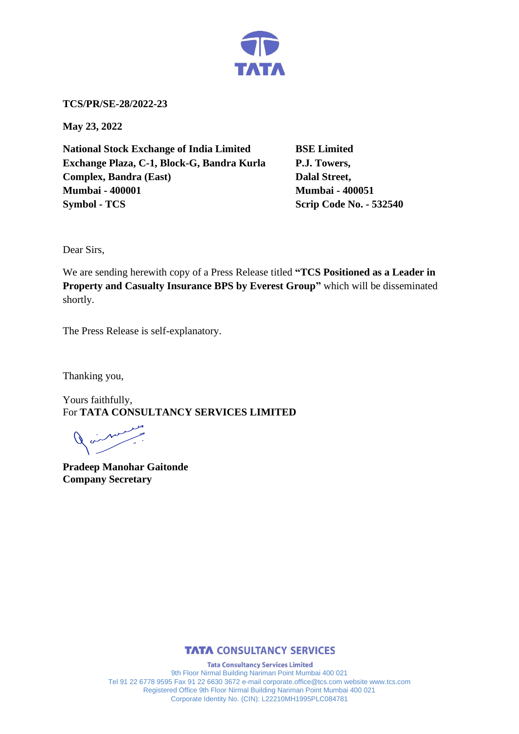

**TCS/PR/SE-28/2022-23**

**May 23, 2022**

**National Stock Exchange of India Limited BSE Limited Exchange Plaza, C-1, Block-G, Bandra Kurla P.J. Towers, Complex, Bandra (East)** Dalal Street, **Mumbai - 400001 Mumbai - 400051 Symbol - TCS Scrip Code No. - 532540** 

Dear Sirs,

We are sending herewith copy of a Press Release titled **"TCS Positioned as a Leader in Property and Casualty Insurance BPS by Everest Group"** which will be disseminated shortly.

The Press Release is self-explanatory.

Thanking you,

Yours faithfully, For **TATA CONSULTANCY SERVICES LIMITED**

 $\begin{array}{c} \nearrow \end{array}$ 

**Pradeep Manohar Gaitonde Company Secretary**



**Tata Consultancy Services Limited** 9th Floor Nirmal Building Nariman Point Mumbai 400 021 Tel 91 22 6778 9595 Fax 91 22 6630 3672 e-mail corporate.office@tcs.com website www.tcs.com Registered Office 9th Floor Nirmal Building Nariman Point Mumbai 400 021 Corporate Identity No. (CIN): L22210MH1995PLC084781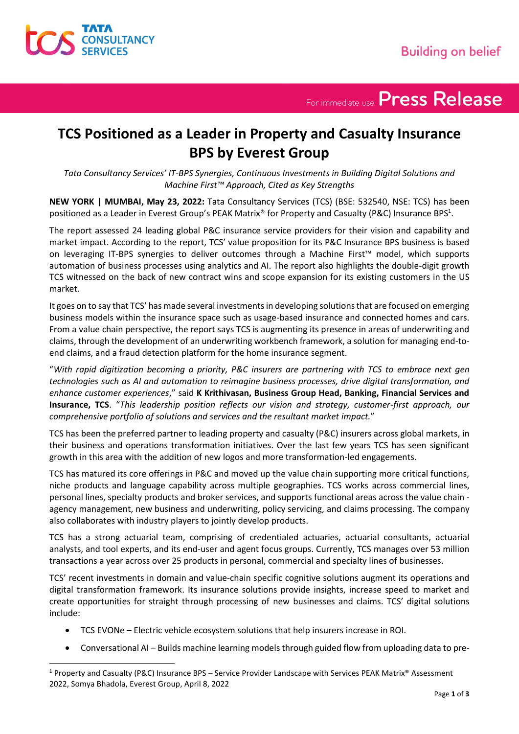For immediate use Press Release

## **TCS Positioned as a Leader in Property and Casualty Insurance BPS by Everest Group**

*Tata Consultancy Services' IT-BPS Synergies, Continuous Investments in Building Digital Solutions and Machine First™ Approach, Cited as Key Strengths*

**NEW YORK | MUMBAI, May 23, 2022:** Tata Consultancy Services (TCS) (BSE: 532540, NSE: TCS) has been positioned as a Leader in Everest Group's PEAK Matrix® for Property and Casualty (P&C) Insurance BPS<sup>1</sup>.

The report assessed 24 leading global P&C insurance service providers for their vision and capability and market impact. According to the report, TCS' value proposition for its P&C Insurance BPS business is based on leveraging IT-BPS synergies to deliver outcomes through a Machine First™ model, which supports automation of business processes using analytics and AI. The report also highlights the double-digit growth TCS witnessed on the back of new contract wins and scope expansion for its existing customers in the US market.

It goes on to say that TCS' has made several investments in developing solutions that are focused on emerging business models within the insurance space such as usage-based insurance and connected homes and cars. From a value chain perspective, the report says TCS is augmenting its presence in areas of underwriting and claims, through the development of an underwriting workbench framework, a solution for managing end-toend claims, and a fraud detection platform for the home insurance segment.

"*With rapid digitization becoming a priority, P&C insurers are partnering with TCS to embrace next gen technologies such as AI and automation to reimagine business processes, drive digital transformation, and enhance customer experiences*," said **K Krithivasan, Business Group Head, Banking, Financial Services and Insurance, TCS**. "*This leadership position reflects our vision and strategy, customer-first approach, our comprehensive portfolio of solutions and services and the resultant market impact.*"

TCS has been the preferred partner to leading property and casualty (P&C) insurers across global markets, in their business and operations transformation initiatives. Over the last few years TCS has seen significant growth in this area with the addition of new logos and more transformation-led engagements.

TCS has matured its core offerings in P&C and moved up the value chain supporting more critical functions, niche products and language capability across multiple geographies. TCS works across commercial lines, personal lines, specialty products and broker services, and supports functional areas across the value chain agency management, new business and underwriting, policy servicing, and claims processing. The company also collaborates with industry players to jointly develop products.

TCS has a strong actuarial team, comprising of credentialed actuaries, actuarial consultants, actuarial analysts, and tool experts, and its end-user and agent focus groups. Currently, TCS manages over 53 million transactions a year across over 25 products in personal, commercial and specialty lines of businesses.

TCS' recent investments in domain and value-chain specific cognitive solutions augment its operations and digital transformation framework. Its insurance solutions provide insights, increase speed to market and create opportunities for straight through processing of new businesses and claims. TCS' digital solutions include:

- TCS EVONe Electric vehicle ecosystem solutions that help insurers increase in ROI.
- Conversational AI Builds machine learning models through guided flow from uploading data to pre-

<sup>1</sup> Property and Casualty (P&C) Insurance BPS – Service Provider Landscape with Services PEAK Matrix® Assessment 2022, Somya Bhadola, Everest Group, April 8, 2022